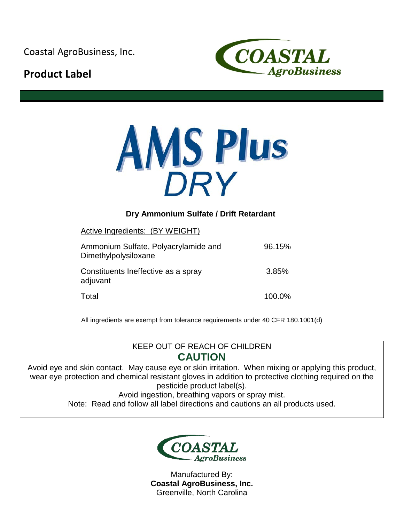Coastal AgroBusiness, Inc.

# **Product Label**





## **Dry Ammonium Sulfate / Drift Retardant**

Active Ingredients: (BY WEIGHT)

| Ammonium Sulfate, Polyacrylamide and<br>Dimethylpolysiloxane | 96.15% |
|--------------------------------------------------------------|--------|
| Constituents Ineffective as a spray<br>adjuvant              | 3.85%  |
| Total                                                        | 100.0% |

All ingredients are exempt from tolerance requirements under 40 CFR 180.1001(d)

## KEEP OUT OF REACH OF CHILDREN **CAUTION**

Avoid eye and skin contact. May cause eye or skin irritation. When mixing or applying this product, wear eye protection and chemical resistant gloves in addition to protective clothing required on the pesticide product label(s).

Avoid ingestion, breathing vapors or spray mist.

Note: Read and follow all label directions and cautions an all products used.



Manufactured By: **Coastal AgroBusiness, Inc.** Greenville, North Carolina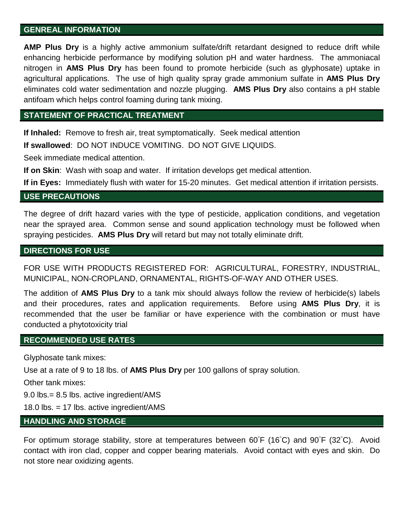#### **GENREAL INFORMATION**

**AMP Plus Dry** is a highly active ammonium sulfate/drift retardant designed to reduce drift while enhancing herbicide performance by modifying solution pH and water hardness. The ammoniacal nitrogen in **AMS Plus Dry** has been found to promote herbicide (such as glyphosate) uptake in agricultural applications. The use of high quality spray grade ammonium sulfate in **AMS Plus Dry**  eliminates cold water sedimentation and nozzle plugging. **AMS Plus Dry** also contains a pH stable antifoam which helps control foaming during tank mixing.

#### **STATEMENT OF PRACTICAL TREATMENT**

**If Inhaled:** Remove to fresh air, treat symptomatically. Seek medical attention

**If swallowed**: DO NOT INDUCE VOMITING. DO NOT GIVE LIQUIDS.

Seek immediate medical attention.

**If on Skin**: Wash with soap and water. If irritation develops get medical attention.

**If in Eyes:** Immediately flush with water for 15-20 minutes. Get medical attention if irritation persists.

#### **USE PRECAUTIONS**

The degree of drift hazard varies with the type of pesticide, application conditions, and vegetation near the sprayed area. Common sense and sound application technology must be followed when spraying pesticides. **AMS Plus Dry** will retard but may not totally eliminate drift.

#### **DIRECTIONS FOR USE**

FOR USE WITH PRODUCTS REGISTERED FOR: AGRICULTURAL, FORESTRY, INDUSTRIAL, MUNICIPAL, NON-CROPLAND, ORNAMENTAL, RIGHTS-OF-WAY AND OTHER USES.

The addition of **AMS Plus Dry** to a tank mix should always follow the review of herbicide(s) labels and their procedures, rates and application requirements. Before using **AMS Plus Dry**, it is recommended that the user be familiar or have experience with the combination or must have conducted a phytotoxicity trial

#### **RECOMMENDED USE RATES**

Glyphosate tank mixes:

Use at a rate of 9 to 18 lbs. of **AMS Plus Dry** per 100 gallons of spray solution.

Other tank mixes:

9.0 lbs.= 8.5 lbs. active ingredient/AMS

18.0 lbs. = 17 lbs. active ingredient/AMS

### **HANDLING AND STORAGE**

For optimum storage stability, store at temperatures between 60°F (16°C) and 90°F (32°C). Avoid contact with iron clad, copper and copper bearing materials. Avoid contact with eyes and skin. Do not store near oxidizing agents.